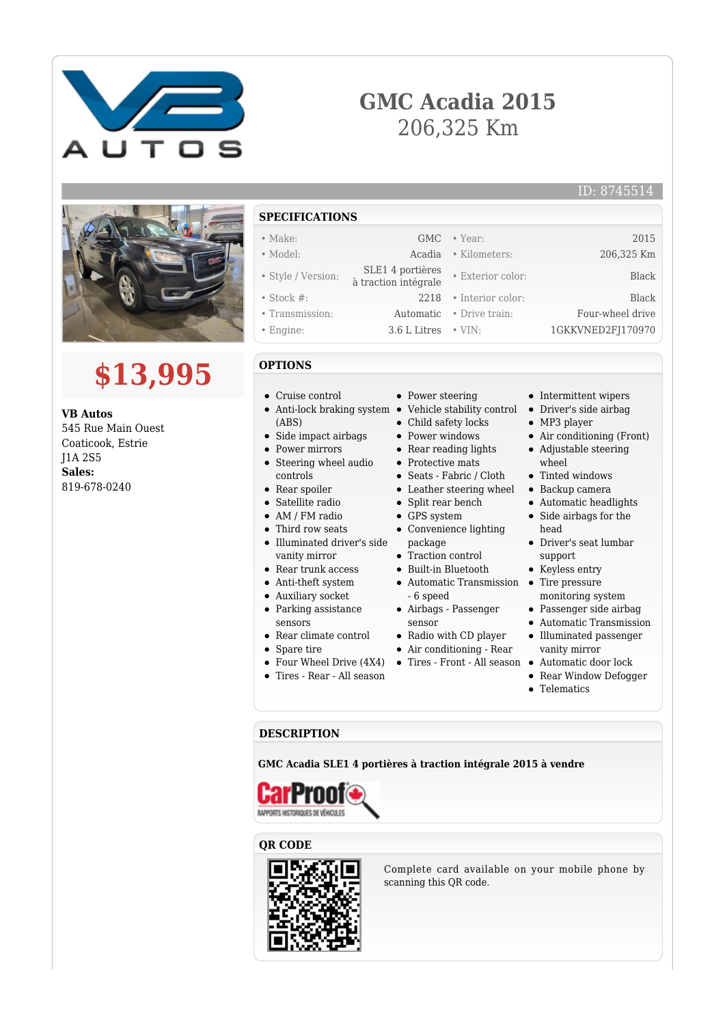

## **GMC Acadia 2015** 206,325 Km



# **\$13,995**

**VB Autos** 545 Rue Main Ouest Coaticook, Estrie J1A 2S5 **Sales:** 819-678-0240

#### **SPECIFICATIONS**

#### • Make: GMC • Year: 2015

- Model: Acadia Kilometers: 206,325 Km
- Style / Version:  $SLE1 4$  portières à traction intégrale • Exterior color: Black
- 
- 
- 
- **OPTIONS**
- Cruise control
- Anti-lock braking system Vehicle stability control (ABS)
- $\bullet~$  Side impact airbags
- Power mirrors
- Steering wheel audio
- controls • Rear spoiler
- Satellite radio
- AM / FM radio
- Third row seats
- Illuminated driver's side vanity mirror
- Rear trunk access
- Anti-theft system
- Auxiliary socket
- Parking assistance
- sensors
- Rear climate control
- Spare tire
- Four Wheel Drive (4X4)  $\bullet$
- Tires Rear All season
- Power steering
- 
- 
- 
- 
- 
- 
- 
- 
- 
- package
- 
- 
- 6 speed
- sensor
- Radio with CD player
- Air conditioning Rear
- Tires Front All season •
- Intermittent wipers • Driver's side airbag • MP3 player
- Air conditioning (Front)
- Adjustable steering
- wheel • Tinted windows
- Backup camera
- Automatic headlights
- Side airbags for the head
- Driver's seat lumbar support
- Keyless entry
- 
- monitoring system
- Passenger side airbag
- Automatic Transmission Illuminated passenger
- vanity mirror
- Automatic door lock
- Rear Window Defogger
- 

#### **DESCRIPTION**

**GMC Acadia SLE1 4 portières à traction intégrale 2015 à vendre**



#### **QR CODE**



Complete card available on your mobile phone by scanning this QR code.

- -
	- Child safety locks
	- Power windows
	- Rear reading lights
	- Protective mats
	- Seats Fabric / Cloth
	- Leather steering wheel
	- Split rear bench
	- GPS system
	- Convenience lighting
	- Traction control
	- Built-in Bluetooth
		- Automatic Transmission Tire pressure
		- Airbags Passenger
		-
		-
		- - -
				- Telematics
- 
- Engine: 3.6 L Litres VIN: 1GKKVNED2FJ170970
- Stock #: 2218 Interior color: Black • Transmission: Automatic • Drive train: Four-wheel drive